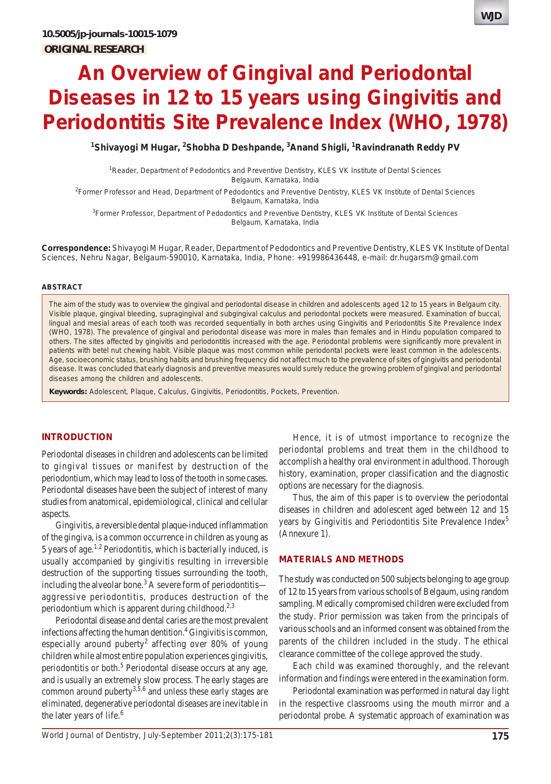

<sup>1</sup>Shivayogi M Hugar, <sup>2</sup>Shobha D Deshpande, <sup>3</sup>Anand Shigli, <sup>1</sup>Ravindranath Reddy PV

<sup>1</sup> Reader, Department of Pedodontics and Preventive Dentistry, KLES VK Institute of Dental Sciences Belgaum, Karnataka, India

2 Former Professor and Head, Department of Pedodontics and Preventive Dentistry, KLES VK Institute of Dental Sciences Belgaum, Karnataka, India

<sup>3</sup>Former Professor, Department of Pedodontics and Preventive Dentistry, KLES VK Institute of Dental Sciences Belgaum, Karnataka, India

**Correspondence:** Shivayogi M Hugar, Reader, Department of Pedodontics and Preventive Dentistry, KLES VK Institute of Dental Sciences, Nehru Nagar, Belgaum-590010, Karnataka, India, Phone: +919986436448, e-mail: dr.hugarsm@gmail.com

#### **ABSTRACT**

The aim of the study was to overview the gingival and periodontal disease in children and adolescents aged 12 to 15 years in Belgaum city. Visible plaque, gingival bleeding, supragingival and subgingival calculus and periodontal pockets were measured. Examination of buccal, lingual and mesial areas of each tooth was recorded sequentially in both arches using Gingivitis and Periodontitis Site Prevalence Index (WHO, 1978). The prevalence of gingival and periodontal disease was more in males than females and in Hindu population compared to others. The sites affected by gingivitis and periodontitis increased with the age. Periodontal problems were significantly more prevalent in patients with betel nut chewing habit. Visible plaque was most common while periodontal pockets were least common in the adolescents. Age, socioeconomic status, brushing habits and brushing frequency did not affect much to the prevalence of sites of gingivitis and periodontal disease. It was concluded that early diagnosis and preventive measures would surely reduce the growing problem of gingival and periodontal diseases among the children and adolescents.

**Keywords:** Adolescent, Plaque, Calculus, Gingivitis, Periodontitis, Pockets, Prevention.

#### **INTRODUCTION**

Periodontal diseases in children and adolescents can be limited to gingival tissues or manifest by destruction of the periodontium, which may lead to loss of the tooth in some cases. Periodontal diseases have been the subject of interest of many studies from anatomical, epidemiological, clinical and cellular aspects.

Gingivitis, a reversible dental plaque-induced inflammation of the gingiva, is a common occurrence in children as young as 5 years of age.1,2 Periodontitis, which is bacterially induced, is usually accompanied by gingivitis resulting in irreversible destruction of the supporting tissues surrounding the tooth, including the alveolar bone.<sup>3</sup> A severe form of periodontitis aggressive periodontitis, produces destruction of the periodontium which is apparent during childhood.<sup>2,3</sup>

Periodontal disease and dental caries are the most prevalent infections affecting the human dentition.<sup>4</sup> Gingivitis is common, especially around puberty<sup>2</sup> affecting over 80% of young children while almost entire population experiences gingivitis, periodontitis or both.<sup>5</sup> Periodontal disease occurs at any age, and is usually an extremely slow process. The early stages are common around puberty $3,5,6$  and unless these early stages are eliminated, degenerative periodontal diseases are inevitable in the later years of life. $6$ 

Hence, it is of utmost importance to recognize the periodontal problems and treat them in the childhood to accomplish a healthy oral environment in adulthood. Thorough history, examination, proper classification and the diagnostic options are necessary for the diagnosis.

Thus, the aim of this paper is to overview the periodontal diseases in children and adolescent aged between 12 and 15 years by Gingivitis and Periodontitis Site Prevalence Index<sup>5</sup> (Annexure 1).

#### **MATERIALS AND METHODS**

The study was conducted on 500 subjects belonging to age group of 12 to 15 years from various schools of Belgaum, using random sampling. Medically compromised children were excluded from the study. Prior permission was taken from the principals of various schools and an informed consent was obtained from the parents of the children included in the study. The ethical clearance committee of the college approved the study.

Each child was examined thoroughly, and the relevant information and findings were entered in the examination form.

Periodontal examination was performed in natural day light in the respective classrooms using the mouth mirror and a periodontal probe. A systematic approach of examination was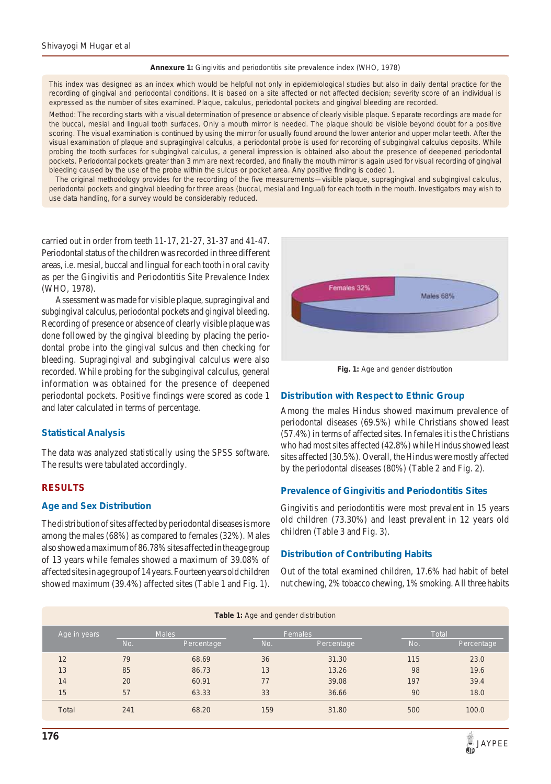**Annexure 1:** Gingivitis and periodontitis site prevalence index (WHO, 1978)

This index was designed as an index which would be helpful not only in epidemiological studies but also in daily dental practice for the recording of gingival and periodontal conditions. It is based on a site affected or not affected decision; severity score of an individual is expressed as the number of sites examined. Plaque, calculus, periodontal pockets and gingival bleeding are recorded.

*Method*: The recording starts with a visual determination of presence or absence of clearly visible plaque. Separate recordings are made for the buccal, mesial and lingual tooth surfaces. Only a mouth mirror is needed. The plaque should be visible beyond doubt for a positive scoring. The visual examination is continued by using the mirror for usually found around the lower anterior and upper molar teeth. After the visual examination of plaque and supragingival calculus, a periodontal probe is used for recording of subgingival calculus deposits. While probing the tooth surfaces for subgingival calculus, a general impression is obtained also about the presence of deepened periodontal pockets. Periodontal pockets greater than 3 mm are next recorded, and finally the mouth mirror is again used for visual recording of gingival bleeding caused by the use of the probe within the sulcus or pocket area. Any positive finding is coded 1.

The original methodology provides for the recording of the five measurements—visible plaque, supragingival and subgingival calculus, periodontal pockets and gingival bleeding for three areas (buccal, mesial and lingual) for each tooth in the mouth. Investigators may wish to use data handling, for a survey would be considerably reduced.

carried out in order from teeth 11-17, 21-27, 31-37 and 41-47. Periodontal status of the children was recorded in three different areas, i.e. mesial, buccal and lingual for each tooth in oral cavity as per the Gingivitis and Periodontitis Site Prevalence Index (WHO, 1978).

Assessment was made for visible plaque, supragingival and subgingival calculus, periodontal pockets and gingival bleeding. Recording of presence or absence of clearly visible plaque was done followed by the gingival bleeding by placing the periodontal probe into the gingival sulcus and then checking for bleeding. Supragingival and subgingival calculus were also recorded. While probing for the subgingival calculus, general information was obtained for the presence of deepened periodontal pockets. Positive findings were scored as code 1 and later calculated in terms of percentage.

## **Statistical Analysis**

The data was analyzed statistically using the SPSS software. The results were tabulated accordingly.

## **RESULTS**

## **Age and Sex Distribution**

The distribution of sites affected by periodontal diseases is more among the males (68%) as compared to females (32%). Males also showed a maximum of 86.78% sites affected in the age group of 13 years while females showed a maximum of 39.08% of affected sites in age group of 14 years. Fourteen years old children showed maximum (39.4%) affected sites (Table 1 and Fig. 1).



**Fig. 1:** Age and gender distribution

## **Distribution with Respect to Ethnic Group**

Among the males Hindus showed maximum prevalence of periodontal diseases (69.5%) while Christians showed least (57.4%) in terms of affected sites. In females it is the Christians who had most sites affected (42.8%) while Hindus showed least sites affected (30.5%). Overall, the Hindus were mostly affected by the periodontal diseases (80%) (Table 2 and Fig. 2).

## **Prevalence of Gingivitis and Periodontitis Sites**

Gingivitis and periodontitis were most prevalent in 15 years old children (73.30%) and least prevalent in 12 years old children (Table 3 and Fig. 3).

## **Distribution of Contributing Habits**

Out of the total examined children, 17.6% had habit of betel nut chewing, 2% tobacco chewing, 1% smoking. All three habits

| <b>Table 1:</b> Age and gender distribution |              |            |     |            |              |            |  |  |
|---------------------------------------------|--------------|------------|-----|------------|--------------|------------|--|--|
| Age in years                                | <b>Males</b> |            |     | Females    | <b>Total</b> |            |  |  |
|                                             | No.          | Percentage | No. | Percentage | No.          | Percentage |  |  |
| 12                                          | 79           | 68.69      | 36  | 31.30      | 115          | 23.0       |  |  |
| 13                                          | 85           | 86.73      | 13  | 13.26      | 98           | 19.6       |  |  |
| 14                                          | 20           | 60.91      | 77  | 39.08      | 197          | 39.4       |  |  |
| 15                                          | 57           | 63.33      | 33  | 36.66      | 90           | 18.0       |  |  |
| Total                                       | 241          | 68.20      | 159 | 31.80      | 500          | 100.0      |  |  |

#### **Table 1:** Age and gender distribution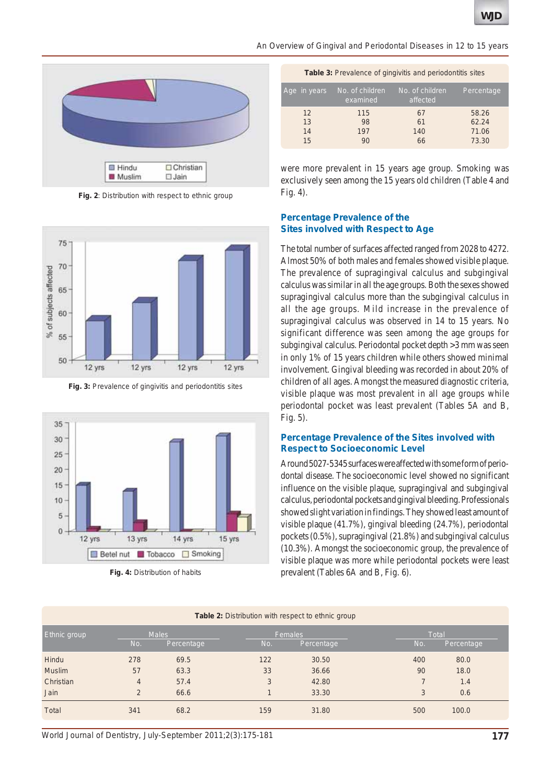



**Fig. 2**: Distribution with respect to ethnic group



**Fig. 3:** Prevalence of gingivitis and periodontitis sites



**Table 3:** Prevalence of gingivitis and periodontitis sites

| Age in years         | No. of children<br>examined | No. of children<br>affected | Percentage                       |
|----------------------|-----------------------------|-----------------------------|----------------------------------|
| 12<br>13<br>14<br>15 | 115<br>98<br>197<br>90      | 67<br>61<br>140<br>66       | 58.26<br>62.24<br>71.06<br>73.30 |
|                      |                             |                             |                                  |

were more prevalent in 15 years age group. Smoking was exclusively seen among the 15 years old children (Table 4 and Fig. 4).

#### **Percentage Prevalence of the Sites involved with Respect to Age**

The total number of surfaces affected ranged from 2028 to 4272. Almost 50% of both males and females showed visible plaque. The prevalence of supragingival calculus and subgingival calculus was similar in all the age groups. Both the sexes showed supragingival calculus more than the subgingival calculus in all the age groups. Mild increase in the prevalence of supragingival calculus was observed in 14 to 15 years. No significant difference was seen among the age groups for subgingival calculus. Periodontal pocket depth >3 mm was seen in only 1% of 15 years children while others showed minimal involvement. Gingival bleeding was recorded in about 20% of children of all ages. Amongst the measured diagnostic criteria, visible plaque was most prevalent in all age groups while periodontal pocket was least prevalent (Tables 5A and B, Fig. 5).

#### **Percentage Prevalence of the Sites involved with Respect to Socioeconomic Level**

Around 5027-5345 surfaces were affected with some form of periodontal disease. The socioeconomic level showed no significant influence on the visible plaque, supragingival and subgingival calculus, periodontal pockets and gingival bleeding. Professionals showed slight variation in findings. They showed least amount of visible plaque (41.7%), gingival bleeding (24.7%), periodontal pockets (0.5%), supragingival (21.8%) and subgingival calculus (10.3%). Amongst the socioeconomic group, the prevalence of visible plaque was more while periodontal pockets were least Fig. 4: Distribution of habits prevalent (Tables 6A and B, Fig. 6).

| <b>Table 2:</b> Distribution with respect to ethnic group |                |            |     |            |     |              |  |  |  |
|-----------------------------------------------------------|----------------|------------|-----|------------|-----|--------------|--|--|--|
| Ethnic group                                              | <b>Males</b>   |            |     | Females    |     | <b>Total</b> |  |  |  |
|                                                           | No.            | Percentage | No. | Percentage | No. | Percentage   |  |  |  |
| Hindu                                                     | 278            | 69.5       | 122 | 30.50      | 400 | 80.0         |  |  |  |
| <b>Muslim</b>                                             | 57             | 63.3       | 33  | 36.66      | 90  | 18.0         |  |  |  |
| Christian                                                 | $\overline{4}$ | 57.4       | 3   | 42.80      |     | 1.4          |  |  |  |
| Jain                                                      | $\overline{2}$ | 66.6       |     | 33.30      | 3   | 0.6          |  |  |  |
| Total                                                     | 341            | 68.2       | 159 | 31.80      | 500 | 100.0        |  |  |  |

*World Journal of Dentistry, July-September 2011;2(3):175-181* **177**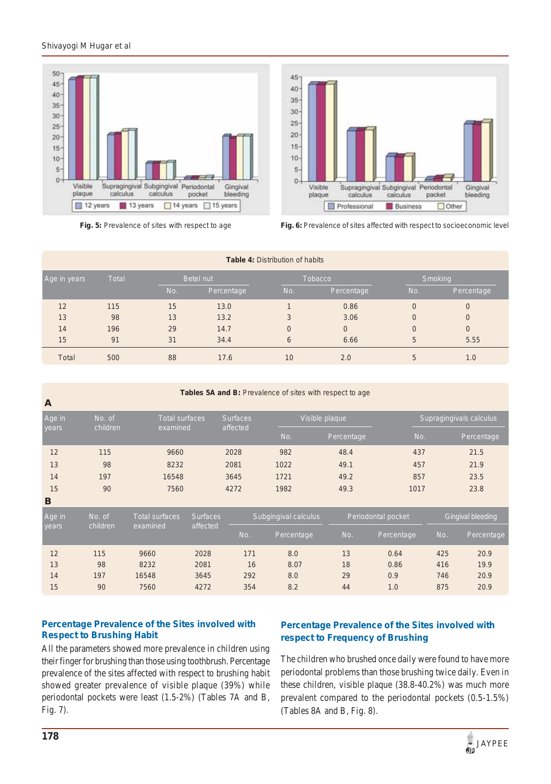



**Fig. 5:** Prevalence of sites with respect to age **Fig. 6:** Prevalence of sites affected with respect to socioeconomic level

| <b>Table 4: Distribution of habits</b> |              |     |                  |                |                |                |                |  |
|----------------------------------------|--------------|-----|------------------|----------------|----------------|----------------|----------------|--|
| Age in years                           | <b>Total</b> |     | <b>Betel nut</b> |                | <b>Tobacco</b> | Smoking        |                |  |
|                                        |              | No. | Percentage       | No.            | Percentage     | No.            | Percentage     |  |
| 12                                     | 115          | 15  | 13.0             |                | 0.86           | $\overline{0}$ | $\overline{0}$ |  |
| 13                                     | 98           | 13  | 13.2             | 3              | 3.06           | $\overline{0}$ | $\overline{0}$ |  |
| 14                                     | 196          | 29  | 14.7             | $\overline{0}$ | $\overline{0}$ | $\overline{0}$ | $\overline{0}$ |  |
| 15                                     | 91           | 31  | 34.4             | 6              | 6.66           | 5              | 5.55           |  |
| Total                                  | 500          | 88  | 17.6             | 10             | 2.0            | 5              | 1.0            |  |

**Tables 5A and B:** Prevalence of sites with respect to age

| $\mathbf{A}$     |                       |                 |          |                |                         |      |            |
|------------------|-----------------------|-----------------|----------|----------------|-------------------------|------|------------|
| Age in<br>No. of | <b>Total surfaces</b> | <b>Surfaces</b> |          | Visible plaque | Supragingivals calculus |      |            |
| vears            | children              | examined        | affected | No.            | Percentage              | No.  | Percentage |
| 12               | 115                   | 9660            | 2028     | 982            | 48.4                    | 437  | 21.5       |
| 13               | 98                    | 8232            | 2081     | 1022           | 49.1                    | 457  | 21.9       |
| 14               | 197                   | 16548           | 3645     | 1721           | 49.2                    | 857  | 23.5       |
| 15               | 90                    | 7560            | 4272     | 1982           | 49.3                    | 1017 | 23.8       |
| B                |                       |                 |          |                |                         |      |            |

| Age in<br>No. of  |          | Total surfaces | <b>Surfaces</b> | Subgingival calculus |      | Periodontal pocket |      | Gingival bleeding |      |
|-------------------|----------|----------------|-----------------|----------------------|------|--------------------|------|-------------------|------|
| children<br>years | examined | affected       | No.             | Percentage           | No.  | Percentage         | No.  | Percentage,       |      |
| 12                | 115      | 9660           | 2028            | 171                  | 8.0  | 13                 | 0.64 | 425               | 20.9 |
| 13                | 98       | 8232           | 2081            | 16                   | 8.07 | 18                 | 0.86 | 416               | 19.9 |
| 14                | 197      | 16548          | 3645            | 292                  | 8.0  | 29                 | 0.9  | 746               | 20.9 |
| 15                | 90       | 7560           | 4272            | 354                  | 8.2  | 44                 | 1.0  | 875               | 20.9 |

# **Percentage Prevalence of the Sites involved with Respect to Brushing Habit**

All the parameters showed more prevalence in children using their finger for brushing than those using toothbrush. Percentage prevalence of the sites affected with respect to brushing habit showed greater prevalence of visible plaque (39%) while periodontal pockets were least (1.5-2%) (Tables 7A and B, Fig. 7).

# **Percentage Prevalence of the Sites involved with respect to Frequency of Brushing**

The children who brushed once daily were found to have more periodontal problems than those brushing twice daily. Even in these children, visible plaque (38.8-40.2%) was much more prevalent compared to the periodontal pockets (0.5-1.5%) (Tables 8A and B, Fig. 8).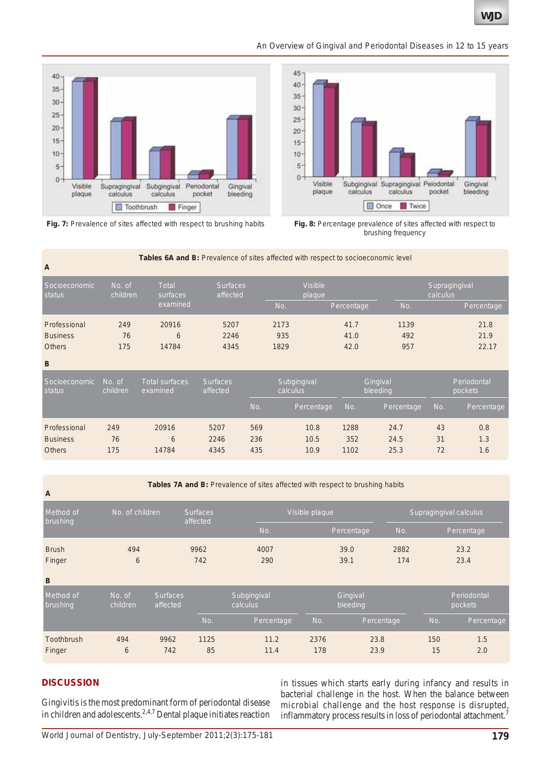#### *An Overview of Gingival and Periodontal Diseases in 12 to 15 years*





**Fig. 7:** Prevalence of sites affected with respect to brushing habits **Fig. 8:** Percentage prevalence of sites affected with respect to

brushing frequency

| A                                                | Tables 6A and B: Prevalence of sites affected with respect to socioeconomic level |                                   |                             |                          |                         |                      |                      |                           |                       |  |
|--------------------------------------------------|-----------------------------------------------------------------------------------|-----------------------------------|-----------------------------|--------------------------|-------------------------|----------------------|----------------------|---------------------------|-----------------------|--|
| Socioeconomic<br>status                          | No. of<br>children                                                                |                                   | <b>Surfaces</b><br>affected | <b>Visible</b><br>plaque |                         |                      |                      | Supragingival<br>calculus |                       |  |
|                                                  |                                                                                   | examined                          |                             |                          | No.                     | Percentage           | No.                  |                           | Percentage            |  |
| Professional<br><b>Business</b><br><b>Others</b> | 249<br>76<br>175                                                                  | 20916<br>6<br>14784               | 5207<br>2246<br>4345        |                          | 2173<br>935<br>1829     | 41.7<br>41.0<br>42.0 | 1139<br>492<br>957   |                           | 21.8<br>21.9<br>22.17 |  |
| B                                                |                                                                                   |                                   |                             |                          |                         |                      |                      |                           |                       |  |
| Socioeconomic<br>status                          | No. of<br>children                                                                | <b>Total surfaces</b><br>examined | <b>Surfaces</b><br>affected |                          | Subgingival<br>calculus | Gingival<br>bleeding |                      | Periodontal<br>pockets    |                       |  |
|                                                  |                                                                                   |                                   |                             | No.                      | Percentage              | No.                  | Percentage           | No.                       | Percentage            |  |
| Professional<br><b>Business</b><br><b>Others</b> | 249<br>76<br>175                                                                  | 20916<br>6<br>14784               | 5207<br>2246<br>4345        | 569<br>236<br>435        | 10.8<br>10.5<br>10.9    | 1288<br>352<br>1102  | 24.7<br>24.5<br>25.3 | 43<br>31<br>72            | 0.8<br>1.3<br>1.6     |  |

**A**

Tables 7A and B: Prevalence of sites affected with respect to brushing habits

| . .                   |                    |                             |                             |                         |                      |              |      |           |                        |  |  |
|-----------------------|--------------------|-----------------------------|-----------------------------|-------------------------|----------------------|--------------|------|-----------|------------------------|--|--|
| Method of<br>brushing | No. of children    |                             | <b>Surfaces</b><br>affected |                         | Visible plaque       |              |      |           | Supragingival calculus |  |  |
|                       |                    |                             |                             | No.                     |                      | Percentage   | No.  |           | Percentage             |  |  |
| <b>Brush</b>          | 494                |                             | 9962                        | 4007                    |                      | 39.0         | 2882 |           | 23.2                   |  |  |
| Finger                | 6                  | 742                         |                             | 290                     |                      | 39.1         | 174  |           | 23.4                   |  |  |
| B                     |                    |                             |                             |                         |                      |              |      |           |                        |  |  |
| Method of<br>brushing | No. of<br>children | <b>Surfaces</b><br>affected |                             | Subgingival<br>calculus | Gingival<br>bleeding |              |      |           | Periodontal<br>pockets |  |  |
|                       |                    |                             | No.                         | Percentage              | No.                  | Percentage   |      | No.       | Percentage             |  |  |
| Toothbrush<br>Finger  | 494<br>6           | 9962<br>742                 | 1125<br>85                  | 11.2<br>11.4            | 2376<br>178          | 23.8<br>23.9 |      | 150<br>15 | 1.5<br>2.0             |  |  |

## **DISCUSSION**

Gingivitis is the most predominant form of periodontal disease in children and adolescents.2,4,7 Dental plaque initiates reaction in tissues which starts early during infancy and results in bacterial challenge in the host. When the balance between microbial challenge and the host response is disrupted, inflammatory process results in loss of periodontal attachment.<sup>7</sup>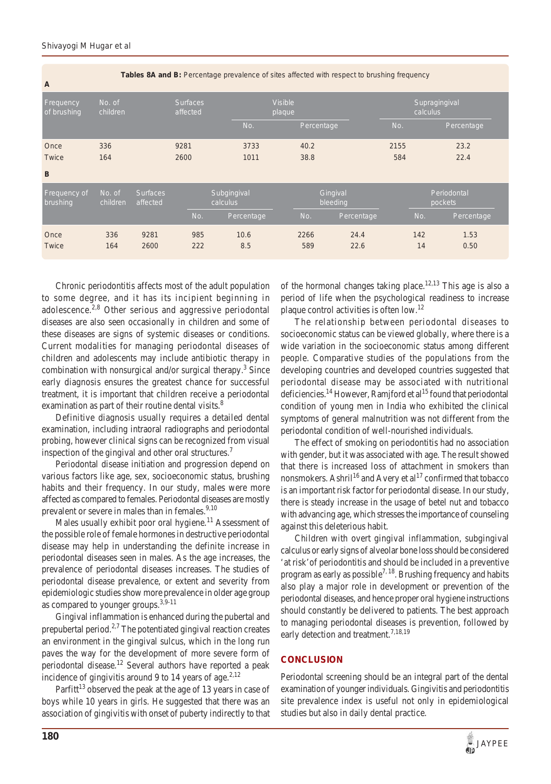**Tables 8A and B:** Percentage prevalence of sites affected with respect to brushing frequency

| $\mathbf{A}$             |                    |                             |                             |                         |                          |                      |           |                           |  |  |
|--------------------------|--------------------|-----------------------------|-----------------------------|-------------------------|--------------------------|----------------------|-----------|---------------------------|--|--|
| Frequency<br>of brushing | No. of<br>children |                             | <b>Surfaces</b><br>affected |                         | <b>Visible</b><br>plaque |                      |           | Supragingival<br>calculus |  |  |
|                          |                    |                             |                             | No.                     | Percentage               |                      | No.       | Percentage                |  |  |
| Once                     | 336                |                             | 9281                        | 3733                    | 40.2                     |                      | 2155      | 23.2                      |  |  |
| <b>Twice</b>             | 164                |                             | 2600                        | 1011                    | 38.8                     |                      | 584       | 22.4                      |  |  |
| B                        |                    |                             |                             |                         |                          |                      |           |                           |  |  |
| Frequency of<br>brushing | No. of<br>children | <b>Surfaces</b><br>affected |                             | Subgingival<br>calculus |                          | Gingival<br>bleeding |           | Periodontal<br>pockets    |  |  |
|                          |                    |                             | No.                         | Percentage              | No.                      | Percentage           | No.       | Percentage                |  |  |
| Once<br><b>Twice</b>     | 336<br>164         | 9281<br>2600                | 985<br>222                  | 10.6<br>8.5             | 2266<br>589              | 24.4<br>22.6         | 142<br>14 | 1.53<br>0.50              |  |  |
|                          |                    |                             |                             |                         |                          |                      |           |                           |  |  |

Chronic periodontitis affects most of the adult population to some degree, and it has its incipient beginning in adolescence.<sup>2,8</sup> Other serious and aggressive periodontal diseases are also seen occasionally in children and some of these diseases are signs of systemic diseases or conditions. Current modalities for managing periodontal diseases of children and adolescents may include antibiotic therapy in combination with nonsurgical and/or surgical therapy.<sup>3</sup> Since early diagnosis ensures the greatest chance for successful treatment, it is important that children receive a periodontal examination as part of their routine dental visits.<sup>8</sup>

Definitive diagnosis usually requires a detailed dental examination, including intraoral radiographs and periodontal probing, however clinical signs can be recognized from visual inspection of the gingival and other oral structures.<sup>7</sup>

Periodontal disease initiation and progression depend on various factors like age, sex, socioeconomic status, brushing habits and their frequency. In our study, males were more affected as compared to females. Periodontal diseases are mostly prevalent or severe in males than in females.<sup>9,10</sup>

Males usually exhibit poor oral hygiene.<sup>11</sup> Assessment of the possible role of female hormones in destructive periodontal disease may help in understanding the definite increase in periodontal diseases seen in males. As the age increases, the prevalence of periodontal diseases increases. The studies of periodontal disease prevalence, or extent and severity from epidemiologic studies show more prevalence in older age group as compared to younger groups.<sup>3,9-11</sup>

Gingival inflammation is enhanced during the pubertal and prepubertal period.<sup>2,7</sup> The potentiated gingival reaction creates an environment in the gingival sulcus, which in the long run paves the way for the development of more severe form of periodontal disease.<sup>12</sup> Several authors have reported a peak incidence of gingivitis around 9 to 14 years of age.<sup>2,12</sup>

Parfitt<sup>13</sup> observed the peak at the age of 13 years in case of boys while 10 years in girls. He suggested that there was an association of gingivitis with onset of puberty indirectly to that of the hormonal changes taking place.<sup>12,13</sup> This age is also a period of life when the psychological readiness to increase plaque control activities is often low.12

The relationship between periodontal diseases to socioeconomic status can be viewed globally, where there is a wide variation in the socioeconomic status among different people. Comparative studies of the populations from the developing countries and developed countries suggested that periodontal disease may be associated with nutritional deficiencies.<sup>14</sup> However, Ramjford et al<sup>15</sup> found that periodontal condition of young men in India who exhibited the clinical symptoms of general malnutrition was not different from the periodontal condition of well-nourished individuals.

The effect of smoking on periodontitis had no association with gender, but it was associated with age. The result showed that there is increased loss of attachment in smokers than nonsmokers. Ashril<sup>16</sup> and Avery et al<sup>17</sup> confirmed that tobacco is an important risk factor for periodontal disease. In our study, there is steady increase in the usage of betel nut and tobacco with advancing age, which stresses the importance of counseling against this deleterious habit.

Children with overt gingival inflammation, subgingival calculus or early signs of alveolar bone loss should be considered 'at risk'of periodontitis and should be included in a preventive program as early as possible<sup>7, 18</sup>. Brushing frequency and habits also play a major role in development or prevention of the periodontal diseases, and hence proper oral hygiene instructions should constantly be delivered to patients. The best approach to managing periodontal diseases is prevention, followed by early detection and treatment.<sup>7,18,19</sup>

## **CONCLUSION**

Periodontal screening should be an integral part of the dental examination of younger individuals. Gingivitis and periodontitis site prevalence index is useful not only in epidemiological studies but also in daily dental practice.